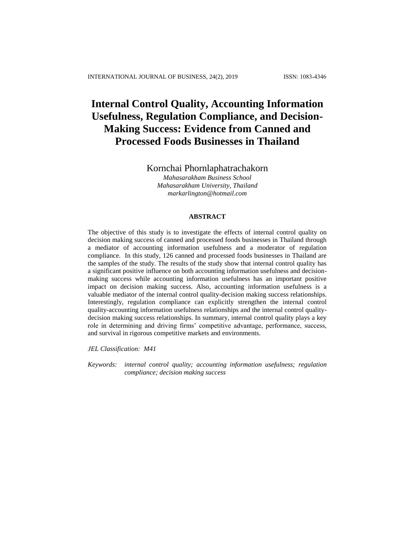# **Internal Control Quality, Accounting Information Usefulness, Regulation Compliance, and Decision-Making Success: Evidence from Canned and Processed Foods Businesses in Thailand**

Kornchai Phornlaphatrachakorn

*Mahasarakham Business School Mahasarakham University, Thailand markarlington@hotmail.com*

## **ABSTRACT**

The objective of this study is to investigate the effects of internal control quality on decision making success of canned and processed foods businesses in Thailand through a mediator of accounting information usefulness and a moderator of regulation compliance. In this study, 126 canned and processed foods businesses in Thailand are the samples of the study. The results of the study show that internal control quality has a significant positive influence on both accounting information usefulness and decisionmaking success while accounting information usefulness has an important positive impact on decision making success. Also, accounting information usefulness is a valuable mediator of the internal control quality-decision making success relationships. Interestingly, regulation compliance can explicitly strengthen the internal control quality-accounting information usefulness relationships and the internal control qualitydecision making success relationships. In summary, internal control quality plays a key role in determining and driving firms' competitive advantage, performance, success, and survival in rigorous competitive markets and environments.

*JEL Classification: M41*

*Keywords: internal control quality; accounting information usefulness; regulation compliance; decision making success*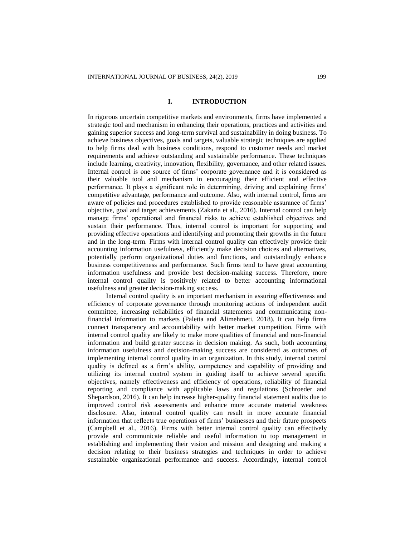### **I. INTRODUCTION**

In rigorous uncertain competitive markets and environments, firms have implemented a strategic tool and mechanism in enhancing their operations, practices and activities and gaining superior success and long-term survival and sustainability in doing business. To achieve business objectives, goals and targets, valuable strategic techniques are applied to help firms deal with business conditions, respond to customer needs and market requirements and achieve outstanding and sustainable performance. These techniques include learning, creativity, innovation, flexibility, governance, and other related issues. Internal control is one source of firms' corporate governance and it is considered as their valuable tool and mechanism in encouraging their efficient and effective performance. It plays a significant role in determining, driving and explaining firms' competitive advantage, performance and outcome. Also, with internal control, firms are aware of policies and procedures established to provide reasonable assurance of firms' objective, goal and target achievements (Zakaria et al., 2016). Internal control can help manage firms' operational and financial risks to achieve established objectives and sustain their performance. Thus, internal control is important for supporting and providing effective operations and identifying and promoting their growths in the future and in the long-term. Firms with internal control quality can effectively provide their accounting information usefulness, efficiently make decision choices and alternatives, potentially perform organizational duties and functions, and outstandingly enhance business competitiveness and performance. Such firms tend to have great accounting information usefulness and provide best decision-making success. Therefore, more internal control quality is positively related to better accounting informational usefulness and greater decision-making success.

Internal control quality is an important mechanism in assuring effectiveness and efficiency of corporate governance through monitoring actions of independent audit committee, increasing reliabilities of financial statements and communicating nonfinancial information to markets (Paletta and Alimehmeti, 2018). It can help firms connect transparency and accountability with better market competition. Firms with internal control quality are likely to make more qualities of financial and non-financial information and build greater success in decision making. As such, both accounting information usefulness and decision-making success are considered as outcomes of implementing internal control quality in an organization. In this study, internal control quality is defined as a firm's ability, competency and capability of providing and utilizing its internal control system in guiding itself to achieve several specific objectives, namely effectiveness and efficiency of operations, reliability of financial reporting and compliance with applicable laws and regulations (Schroeder and Shepardson, 2016). It can help increase higher-quality financial statement audits due to improved control risk assessments and enhance more accurate material weakness disclosure. Also, internal control quality can result in more accurate financial information that reflects true operations of firms' businesses and their future prospects (Campbell et al., 2016). Firms with better internal control quality can effectively provide and communicate reliable and useful information to top management in establishing and implementing their vision and mission and designing and making a decision relating to their business strategies and techniques in order to achieve sustainable organizational performance and success. Accordingly, internal control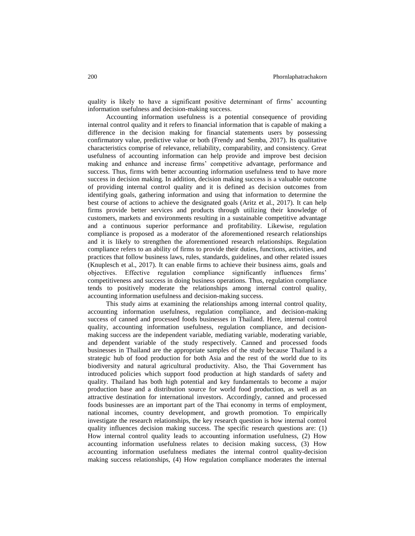quality is likely to have a significant positive determinant of firms' accounting information usefulness and decision-making success.

Accounting information usefulness is a potential consequence of providing internal control quality and it refers to financial information that is capable of making a difference in the decision making for financial statements users by possessing confirmatory value, predictive value or both (Frendy and Semba, 2017). Its qualitative characteristics comprise of relevance, reliability, comparability, and consistency. Great usefulness of accounting information can help provide and improve best decision making and enhance and increase firms' competitive advantage, performance and success. Thus, firms with better accounting information usefulness tend to have more success in decision making. In addition, decision making success is a valuable outcome of providing internal control quality and it is defined as decision outcomes from identifying goals, gathering information and using that information to determine the best course of actions to achieve the designated goals (Aritz et al., 2017). It can help firms provide better services and products through utilizing their knowledge of customers, markets and environments resulting in a sustainable competitive advantage and a continuous superior performance and profitability. Likewise, regulation compliance is proposed as a moderator of the aforementioned research relationships and it is likely to strengthen the aforementioned research relationships. Regulation compliance refers to an ability of firms to provide their duties, functions, activities, and practices that follow business laws, rules, standards, guidelines, and other related issues (Knuplesch et al., 2017). It can enable firms to achieve their business aims, goals and objectives. Effective regulation compliance significantly influences firms' competitiveness and success in doing business operations. Thus, regulation compliance tends to positively moderate the relationships among internal control quality, accounting information usefulness and decision-making success.

This study aims at examining the relationships among internal control quality, accounting information usefulness, regulation compliance, and decision-making success of canned and processed foods businesses in Thailand. Here, internal control quality, accounting information usefulness, regulation compliance, and decisionmaking success are the independent variable, mediating variable, moderating variable, and dependent variable of the study respectively. Canned and processed foods businesses in Thailand are the appropriate samples of the study because Thailand is a strategic hub of food production for both Asia and the rest of the world due to its biodiversity and natural agricultural productivity. Also, the Thai Government has introduced policies which support food production at high standards of safety and quality. Thailand has both high potential and key fundamentals to become a major production base and a distribution source for world food production, as well as an attractive destination for international investors. Accordingly, canned and processed foods businesses are an important part of the Thai economy in terms of employment, national incomes, country development, and growth promotion. To empirically investigate the research relationships, the key research question is how internal control quality influences decision making success. The specific research questions are: (1) How internal control quality leads to accounting information usefulness, (2) How accounting information usefulness relates to decision making success, (3) How accounting information usefulness mediates the internal control quality-decision making success relationships, (4) How regulation compliance moderates the internal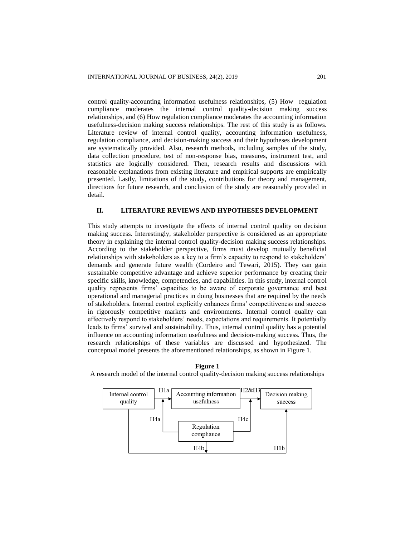control quality-accounting information usefulness relationships, (5) How regulation compliance moderates the internal control quality-decision making success relationships, and (6) How regulation compliance moderates the accounting information usefulness-decision making success relationships. The rest of this study is as follows. Literature review of internal control quality, accounting information usefulness, regulation compliance, and decision-making success and their hypotheses development are systematically provided. Also, research methods, including samples of the study, data collection procedure, test of non-response bias, measures, instrument test, and statistics are logically considered. Then, research results and discussions with reasonable explanations from existing literature and empirical supports are empirically presented. Lastly, limitations of the study, contributions for theory and management, directions for future research, and conclusion of the study are reasonably provided in detail.

#### **II. LITERATURE REVIEWS AND HYPOTHESES DEVELOPMENT**

This study attempts to investigate the effects of internal control quality on decision making success. Interestingly, stakeholder perspective is considered as an appropriate theory in explaining the internal control quality-decision making success relationships. According to the stakeholder perspective, firms must develop mutually beneficial relationships with stakeholders as a key to a firm's capacity to respond to stakeholders' demands and generate future wealth (Cordeiro and Tewari, 2015). They can gain sustainable competitive advantage and achieve superior performance by creating their specific skills, knowledge, competencies, and capabilities. In this study, internal control quality represents firms' capacities to be aware of corporate governance and best operational and managerial practices in doing businesses that are required by the needs of stakeholders. Internal control explicitly enhances firms' competitiveness and success in rigorously competitive markets and environments. Internal control quality can effectively respond to stakeholders' needs, expectations and requirements. It potentially leads to firms' survival and sustainability. Thus, internal control quality has a potential influence on accounting information usefulness and decision-making success. Thus, the research relationships of these variables are discussed and hypothesized. The conceptual model presents the aforementioned relationships, as shown in Figure 1.



**Figure 1** A research model of the internal control quality-decision making success relationships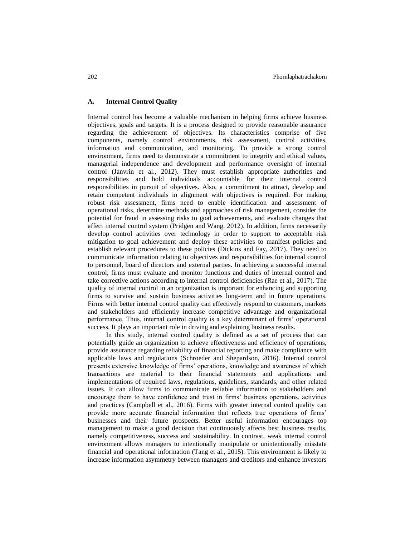## **A. Internal Control Quality**

Internal control has become a valuable mechanism in helping firms achieve business objectives, goals and targets. It is a process designed to provide reasonable assurance regarding the achievement of objectives. Its characteristics comprise of five components, namely control environments, risk assessment, control activities, information and communication, and monitoring. To provide a strong control environment, firms need to demonstrate a commitment to integrity and ethical values, managerial independence and development and performance oversight of internal control (Janvrin et al., 2012). They must establish appropriate authorities and responsibilities and hold individuals accountable for their internal control responsibilities in pursuit of objectives. Also, a commitment to attract, develop and retain competent individuals in alignment with objectives is required. For making robust risk assessment, firms need to enable identification and assessment of operational risks, determine methods and approaches of risk management, consider the potential for fraud in assessing risks to goal achievements, and evaluate changes that affect internal control system (Pridgen and Wang, 2012). In addition, firms necessarily develop control activities over technology in order to support to acceptable risk mitigation to goal achievement and deploy these activities to manifest policies and establish relevant procedures to these policies (Dickins and Fay, 2017). They need to communicate information relating to objectives and responsibilities for internal control to personnel, board of directors and external parties. In achieving a successful internal control, firms must evaluate and monitor functions and duties of internal control and take corrective actions according to internal control deficiencies (Rae et al., 2017). The quality of internal control in an organization is important for enhancing and supporting firms to survive and sustain business activities long-term and in future operations. Firms with better internal control quality can effectively respond to customers, markets and stakeholders and efficiently increase competitive advantage and organizational performance. Thus, internal control quality is a key determinant of firms' operational success. It plays an important role in driving and explaining business results.

In this study, internal control quality is defined as a set of process that can potentially guide an organization to achieve effectiveness and efficiency of operations, provide assurance regarding reliability of financial reporting and make compliance with applicable laws and regulations (Schroeder and Shepardson, 2016). Internal control presents extensive knowledge of firms' operations, knowledge and awareness of which transactions are material to their financial statements and applications and implementations of required laws, regulations, guidelines, standards, and other related issues. It can allow firms to communicate reliable information to stakeholders and encourage them to have confidence and trust in firms' business operations, activities and practices (Campbell et al., 2016). Firms with greater internal control quality can provide more accurate financial information that reflects true operations of firms' businesses and their future prospects. Better useful information encourages top management to make a good decision that continuously affects best business results, namely competitiveness, success and sustainability. In contrast, weak internal control environment allows managers to intentionally manipulate or unintentionally misstate financial and operational information (Tang et al., 2015). This environment is likely to increase information asymmetry between managers and creditors and enhance investors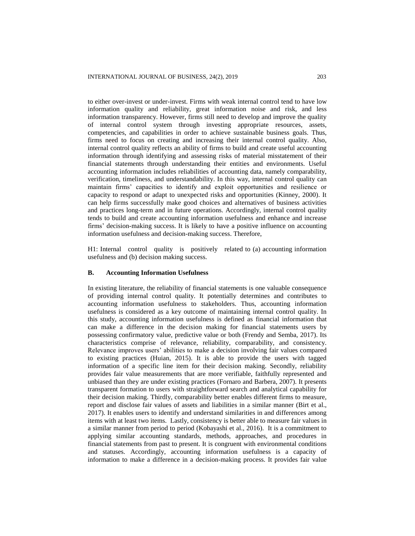to either over-invest or under-invest. Firms with weak internal control tend to have low information quality and reliability, great information noise and risk, and less information transparency. However, firms still need to develop and improve the quality of internal control system through investing appropriate resources, assets, competencies, and capabilities in order to achieve sustainable business goals. Thus, firms need to focus on creating and increasing their internal control quality. Also, internal control quality reflects an ability of firms to build and create useful accounting information through identifying and assessing risks of material misstatement of their financial statements through understanding their entities and environments. Useful accounting information includes reliabilities of accounting data, namely comparability, verification, timeliness, and understandability. In this way, internal control quality can maintain firms' capacities to identify and exploit opportunities and resilience or capacity to respond or adapt to unexpected risks and opportunities (Kinney, 2000). It can help firms successfully make good choices and alternatives of business activities and practices long-term and in future operations. Accordingly, internal control quality tends to build and create accounting information usefulness and enhance and increase firms' decision-making success. It is likely to have a positive influence on accounting information usefulness and decision-making success. Therefore,

H1: Internal control quality is positively related to (a) accounting information usefulness and (b) decision making success.

#### **B. Accounting Information Usefulness**

In existing literature, the reliability of financial statements is one valuable consequence of providing internal control quality. It potentially determines and contributes to accounting information usefulness to stakeholders. Thus, accounting information usefulness is considered as a key outcome of maintaining internal control quality. In this study, accounting information usefulness is defined as financial information that can make a difference in the decision making for financial statements users by possessing confirmatory value, predictive value or both (Frendy and Semba, 2017). Its characteristics comprise of relevance, reliability, comparability, and consistency. Relevance improves users' abilities to make a decision involving fair values compared to existing practices (Huian, 2015). It is able to provide the users with tagged information of a specific line item for their decision making. Secondly, reliability provides fair value measurements that are more verifiable, faithfully represented and unbiased than they are under existing practices (Fornaro and Barbera, 2007). It presents transparent formation to users with straightforward search and analytical capability for their decision making. Thirdly, comparability better enables different firms to measure, report and disclose fair values of assets and liabilities in a similar manner (Birt et al., 2017). It enables users to identify and understand similarities in and differences among items with at least two items. Lastly, consistency is better able to measure fair values in a similar manner from period to period (Kobayashi et al., 2016). It is a commitment to applying similar accounting standards, methods, approaches, and procedures in financial statements from past to present. It is congruent with environmental conditions and statuses. Accordingly, accounting information usefulness is a capacity of information to make a difference in a decision-making process. It provides fair value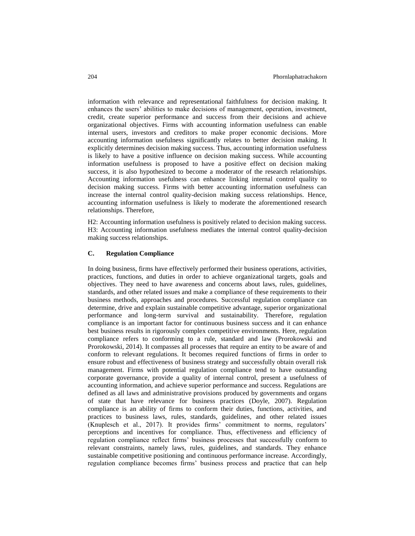information with relevance and representational faithfulness for decision making. It enhances the users' abilities to make decisions of management, operation, investment, credit, create superior performance and success from their decisions and achieve organizational objectives. Firms with accounting information usefulness can enable internal users, investors and creditors to make proper economic decisions. More accounting information usefulness significantly relates to better decision making. It explicitly determines decision making success. Thus, accounting information usefulness is likely to have a positive influence on decision making success. While accounting information usefulness is proposed to have a positive effect on decision making success, it is also hypothesized to become a moderator of the research relationships. Accounting information usefulness can enhance linking internal control quality to decision making success. Firms with better accounting information usefulness can increase the internal control quality-decision making success relationships. Hence, accounting information usefulness is likely to moderate the aforementioned research relationships. Therefore,

H2: Accounting information usefulness is positively related to decision making success. H3: Accounting information usefulness mediates the internal control quality-decision making success relationships.

## **C. Regulation Compliance**

In doing business, firms have effectively performed their business operations, activities, practices, functions, and duties in order to achieve organizational targets, goals and objectives. They need to have awareness and concerns about laws, rules, guidelines, standards, and other related issues and make a compliance of these requirements to their business methods, approaches and procedures. Successful regulation compliance can determine, drive and explain sustainable competitive advantage, superior organizational performance and long-term survival and sustainability. Therefore, regulation compliance is an important factor for continuous business success and it can enhance best business results in rigorously complex competitive environments. Here, regulation compliance refers to conforming to a rule, standard and law (Prorokowski and Prorokowski, 2014). It compasses all processes that require an entity to be aware of and conform to relevant regulations. It becomes required functions of firms in order to ensure robust and effectiveness of business strategy and successfully obtain overall risk management. Firms with potential regulation compliance tend to have outstanding corporate governance, provide a quality of internal control, present a usefulness of accounting information, and achieve superior performance and success. Regulations are defined as all laws and administrative provisions produced by governments and organs of state that have relevance for business practices (Doyle, 2007). Regulation compliance is an ability of firms to conform their duties, functions, activities, and practices to business laws, rules, standards, guidelines, and other related issues (Knuplesch et al., 2017). It provides firms' commitment to norms, regulators' perceptions and incentives for compliance. Thus, effectiveness and efficiency of regulation compliance reflect firms' business processes that successfully conform to relevant constraints, namely laws, rules, guidelines, and standards. They enhance sustainable competitive positioning and continuous performance increase. Accordingly, regulation compliance becomes firms' business process and practice that can help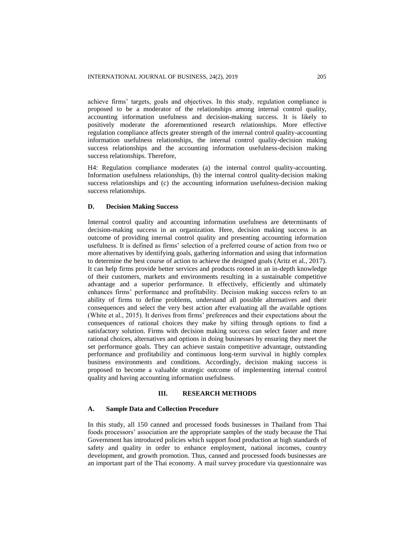achieve firms' targets, goals and objectives. In this study, regulation compliance is proposed to be a moderator of the relationships among internal control quality, accounting information usefulness and decision-making success. It is likely to positively moderate the aforementioned research relationships. More effective regulation compliance affects greater strength of the internal control quality-accounting information usefulness relationships, the internal control quality-decision making success relationships and the accounting information usefulness-decision making success relationships. Therefore,

H4: Regulation compliance moderates (a) the internal control quality-accounting. Information usefulness relationships, (b) the internal control quality-decision making success relationships and (c) the accounting information usefulness-decision making success relationships.

## **D. Decision Making Success**

Internal control quality and accounting information usefulness are determinants of decision-making success in an organization. Here, decision making success is an outcome of providing internal control quality and presenting accounting information usefulness. It is defined as firms' selection of a preferred course of action from two or more alternatives by identifying goals, gathering information and using that information to determine the best course of action to achieve the designed goals (Aritz et al., 2017). It can help firms provide better services and products rooted in an in-depth knowledge of their customers, markets and environments resulting in a sustainable competitive advantage and a superior performance. It effectively, efficiently and ultimately enhances firms' performance and profitability. Decision making success refers to an ability of firms to define problems, understand all possible alternatives and their consequences and select the very best action after evaluating all the available options (White et al., 2015). It derives from firms' preferences and their expectations about the consequences of rational choices they make by sifting through options to find a satisfactory solution. Firms with decision making success can select faster and more rational choices, alternatives and options in doing businesses by ensuring they meet the set performance goals. They can achieve sustain competitive advantage, outstanding performance and profitability and continuous long-term survival in highly complex business environments and conditions. Accordingly, decision making success is proposed to become a valuable strategic outcome of implementing internal control quality and having accounting information usefulness.

#### **III. RESEARCH METHODS**

#### **A. Sample Data and Collection Procedure**

In this study, all 150 canned and processed foods businesses in Thailand from Thai foods processors' association are the appropriate samples of the study because the Thai Government has introduced policies which support food production at high standards of safety and quality in order to enhance employment, national incomes, country development, and growth promotion. Thus, canned and processed foods businesses are an important part of the Thai economy. A mail survey procedure via questionnaire was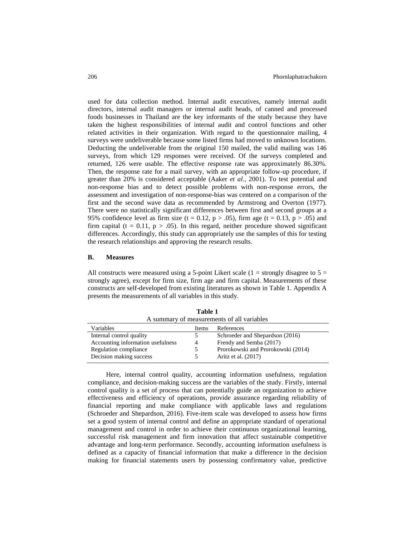used for data collection method. Internal audit executives, namely internal audit directors, internal audit managers or internal audit heads, of canned and processed foods businesses in Thailand are the key informants of the study because they have taken the highest responsibilities of internal audit and control functions and other related activities in their organization. With regard to the questionnaire mailing, 4 surveys were undeliverable because some listed firms had moved to unknown locations. Deducting the undeliverable from the original 150 mailed, the valid mailing was 146 surveys, from which 129 responses were received. Of the surveys completed and returned, 126 were usable. The effective response rate was approximately 86.30%. Then, the response rate for a mail survey, with an appropriate follow-up procedure, if greater than 20% is considered acceptable (Aaker *et al.*, 2001). To test potential and non-response bias and to detect possible problems with non-response errors, the assessment and investigation of non-response-bias was centered on a comparison of the first and the second wave data as recommended by Armstrong and Overton (1977). There were no statistically significant differences between first and second groups at a 95% confidence level as firm size (t = 0.12, p > .05), firm age (t = 0.13, p > .05) and firm capital ( $t = 0.11$ ,  $p > .05$ ). In this regard, neither procedure showed significant differences. Accordingly, this study can appropriately use the samples of this for testing the research relationships and approving the research results.

#### **B. Measures**

All constructs were measured using a 5-point Likert scale  $(1 =$  strongly disagree to  $5 =$ strongly agree), except for firm size, firm age and firm capital. Measurements of these constructs are self-developed from existing literatures as shown in Table 1. Appendix A presents the measurements of all variables in this study.

| A summary of measurements of all variables |       |                                    |
|--------------------------------------------|-------|------------------------------------|
| Variables                                  | Items | References                         |
| Internal control quality                   | 5.    | Schroeder and Shepardson (2016)    |
| Accounting information usefulness          | 4     | Frendy and Semba (2017)            |
| Regulation compliance                      |       | Prorokowski and Prorokowski (2014) |
| Decision making success                    |       | Aritz et al. (2017)                |

**Table 1**

Here, internal control quality, accounting information usefulness, regulation compliance, and decision-making success are the variables of the study. Firstly, internal control quality is a set of process that can potentially guide an organization to achieve effectiveness and efficiency of operations, provide assurance regarding reliability of financial reporting and make compliance with applicable laws and regulations (Schroeder and Shepardson, 2016). Five-item scale was developed to assess how firms set a good system of internal control and define an appropriate standard of operational management and control in order to achieve their continuous organizational learning, successful risk management and firm innovation that affect sustainable competitive advantage and long-term performance. Secondly, accounting information usefulness is defined as a capacity of financial information that make a difference in the decision making for financial statements users by possessing confirmatory value, predictive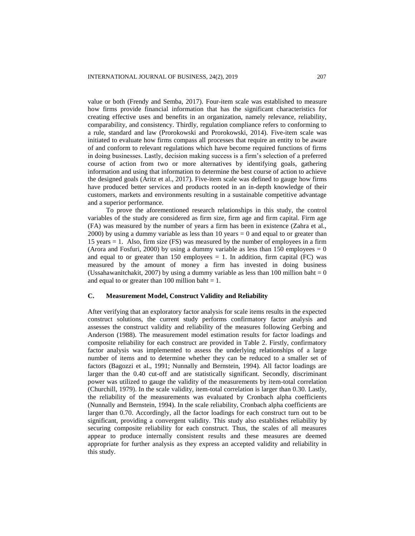value or both (Frendy and Semba, 2017). Four-item scale was established to measure how firms provide financial information that has the significant characteristics for creating effective uses and benefits in an organization, namely relevance, reliability, comparability, and consistency. Thirdly, regulation compliance refers to conforming to a rule, standard and law (Prorokowski and Prorokowski, 2014). Five-item scale was initiated to evaluate how firms compass all processes that require an entity to be aware of and conform to relevant regulations which have become required functions of firms in doing businesses. Lastly, decision making success is a firm's selection of a preferred course of action from two or more alternatives by identifying goals, gathering information and using that information to determine the best course of action to achieve the designed goals (Aritz et al., 2017). Five-item scale was defined to gauge how firms have produced better services and products rooted in an in-depth knowledge of their customers, markets and environments resulting in a sustainable competitive advantage and a superior performance.

To prove the aforementioned research relationships in this study, the control variables of the study are considered as firm size, firm age and firm capital. Firm age (FA) was measured by the number of years a firm has been in existence (Zahra et al., 2000) by using a dummy variable as less than 10 years  $= 0$  and equal to or greater than 15 years = 1. Also, firm size (FS) was measured by the number of employees in a firm (Arora and Fosfuri, 2000) by using a dummy variable as less than 150 employees  $= 0$ and equal to or greater than 150 employees  $= 1$ . In addition, firm capital (FC) was measured by the amount of money a firm has invested in doing business (Ussahawanitchakit, 2007) by using a dummy variable as less than 100 million baht  $= 0$ and equal to or greater than 100 million baht  $= 1$ .

#### **C. Measurement Model, Construct Validity and Reliability**

After verifying that an exploratory factor analysis for scale items results in the expected construct solutions, the current study performs confirmatory factor analysis and assesses the construct validity and reliability of the measures following Gerbing and Anderson (1988). The measurement model estimation results for factor loadings and composite reliability for each construct are provided in Table 2. Firstly, confirmatory factor analysis was implemented to assess the underlying relationships of a large number of items and to determine whether they can be reduced to a smaller set of factors (Bagozzi et al., 1991; Nunnally and Bernstein, 1994). All factor loadings are larger than the 0.40 cut-off and are statistically significant. Secondly, discriminant power was utilized to gauge the validity of the measurements by item-total correlation (Churchill, 1979). In the scale validity, item-total correlation is larger than 0.30. Lastly, the reliability of the measurements was evaluated by Cronbach alpha coefficients (Nunnally and Bernstein, 1994). In the scale reliability, Cronbach alpha coefficients are larger than 0.70. Accordingly, all the factor loadings for each construct turn out to be significant, providing a convergent validity. This study also establishes reliability by securing composite reliability for each construct. Thus, the scales of all measures appear to produce internally consistent results and these measures are deemed appropriate for further analysis as they express an accepted validity and reliability in this study.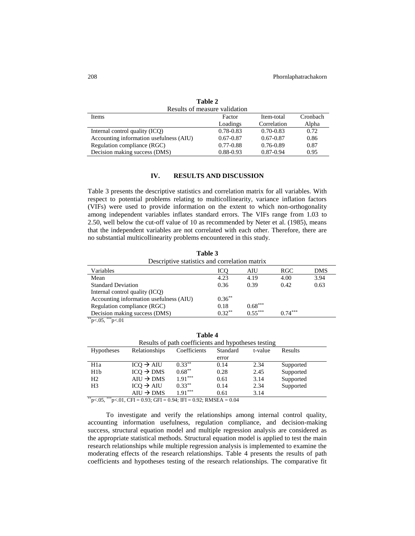| Results of measure validation           |               |               |          |
|-----------------------------------------|---------------|---------------|----------|
| <b>Items</b>                            | Factor        | Item-total    | Cronbach |
|                                         | Loadings      | Correlation   | Alpha    |
| Internal control quality (ICQ)          | $0.78 - 0.83$ | $0.70 - 0.83$ | 0.72     |
| Accounting information usefulness (AIU) | $0.67 - 0.87$ | $0.67 - 0.87$ | 0.86     |
| Regulation compliance (RGC)             | $0.77 - 0.88$ | $0.76 - 0.89$ | 0.87     |
| Decision making success (DMS)           | $0.88 - 0.93$ | 0.87-0.94     | 0.95     |

**Table 2**

## **IV. RESULTS AND DISCUSSION**

Table 3 presents the descriptive statistics and correlation matrix for all variables. With respect to potential problems relating to multicollinearity, variance inflation factors (VIFs) were used to provide information on the extent to which non-orthogonality among independent variables inflates standard errors. The VIFs range from 1.03 to 2.50, well below the cut-off value of 10 as recommended by Neter et al. (1985), means that the independent variables are not correlated with each other. Therefore, there are no substantial multicollinearity problems encountered in this study.

**Table 3** Descriptive statistics and correlation matrix Variables ICQ AIU RGC DMS Mean 1.23 4.19 4.00 3.94 Standard Deviation 0.36 0.39 0.42 0.63 Internal control quality (ICQ) Accounting information usefulness (AIU)  $0.36^{**}$ Regulation compliance (RGC)  $0.18$  0.68\*\*\*<br>Decision making success (DMS)  $0.32^{**}$  0.55\*\*\* Decision making success (DMS)  $0.32^{**}$   $0.55^{***}$   $0.74^{***}$ 

 $p<05$ ,  $*^{**}p<01$ 

| Table 4           |                                                     |              |          |         |                |
|-------------------|-----------------------------------------------------|--------------|----------|---------|----------------|
|                   | Results of path coefficients and hypotheses testing |              |          |         |                |
| <b>Hypotheses</b> | Relationships                                       | Coefficients | Standard | t-value | <b>Results</b> |
|                   |                                                     |              | error    |         |                |
| H1a               | $ICO \rightarrow AIU$                               | $0.33***$    | 0.14     | 2.34    | Supported      |
| H1b               | $ICQ \rightarrow DMS$                               | $0.68***$    | 0.28     | 2.45    | Supported      |
| H <sub>2</sub>    | $AIU \rightarrow DMS$                               | $1.91***$    | 0.61     | 3.14    | Supported      |
| H <sub>3</sub>    | $ICQ \rightarrow AIU$                               | $0.33***$    | 0.14     | 2.34    | Supported      |
|                   | $AIU \rightarrow DMS$                               | $1.91***$    | 0.61     | 3.14    |                |

 $*^*p<.05$ ,  $*^*p<.01$ , CFI = 0.93; GFI = 0.94; IFI = 0.92; RMSEA = 0.04

To investigate and verify the relationships among internal control quality, accounting information usefulness, regulation compliance, and decision-making success, structural equation model and multiple regression analysis are considered as the appropriate statistical methods. Structural equation model is applied to test the main research relationships while multiple regression analysis is implemented to examine the moderating effects of the research relationships. Table 4 presents the results of path coefficients and hypotheses testing of the research relationships. The comparative fit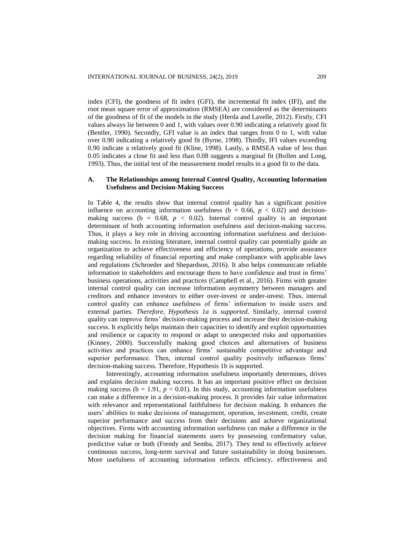index (CFI), the goodness of fit index (GFI), the incremental fit index (IFI), and the root mean square error of approximation (RMSEA) are considered as the determinants of the goodness of fit of the models in the study (Herda and Lavelle, 2012). Firstly, CFI values always lie between 0 and 1, with values over 0.90 indicating a relatively good fit (Bentler, 1990). Secondly, GFI value is an index that ranges from 0 to 1, with value over 0.90 indicating a relatively good fit (Byrne, 1998). Thirdly, IFI values exceeding 0.90 indicate a relatively good fit (Kline, 1998). Lastly, a RMSEA value of less than 0.05 indicates a close fit and less than 0.08 suggests a marginal fit (Bollen and Long, 1993). Thus, the initial test of the measurement model results in a good fit to the data.

### **A. The Relationships among Internal Control Quality, Accounting Information Usefulness and Decision-Making Success**

In Table 4, the results show that internal control quality has a significant positive influence on accounting information usefulness ( $b = 0.66$ ,  $p < 0.02$ ) and decisionmaking success ( $b = 0.68$ ,  $p < 0.02$ ). Internal control quality is an important determinant of both accounting information usefulness and decision-making success. Thus, it plays a key role in driving accounting information usefulness and decisionmaking success. In existing literature, internal control quality can potentially guide an organization to achieve effectiveness and efficiency of operations, provide assurance regarding reliability of financial reporting and make compliance with applicable laws and regulations (Schroeder and Shepardson, 2016). It also helps communicate reliable information to stakeholders and encourage them to have confidence and trust in firms' business operations, activities and practices (Campbell et al., 2016). Firms with greater internal control quality can increase information asymmetry between managers and creditors and enhance investors to either over-invest or under-invest. Thus, internal control quality can enhance usefulness of firms' information to inside users and external parties. *Therefore, Hypothesis 1a is supported*. Similarly, internal control quality can improve firms' decision-making process and increase their decision-making success. It explicitly helps maintain their capacities to identify and exploit opportunities and resilience or capacity to respond or adapt to unexpected risks and opportunities (Kinney, 2000). Successfully making good choices and alternatives of business activities and practices can enhance firms' sustainable competitive advantage and superior performance. Then, internal control quality positively influences firms' decision-making success. Therefore, Hypothesis 1b is supported.

Interestingly, accounting information usefulness importantly determines, drives and explains decision making success. It has an important positive effect on decision making success ( $b = 1.91$ ,  $p < 0.01$ ). In this study, accounting information usefulness can make a difference in a decision-making process. It provides fair value information with relevance and representational faithfulness for decision making. It enhances the users' abilities to make decisions of management, operation, investment, credit, create superior performance and success from their decisions and achieve organizational objectives. Firms with accounting information usefulness can make a difference in the decision making for financial statements users by possessing confirmatory value, predictive value or both (Frendy and Semba, 2017). They tend to effectively achieve continuous success, long-term survival and future sustainability in doing businesses. More usefulness of accounting information reflects efficiency, effectiveness and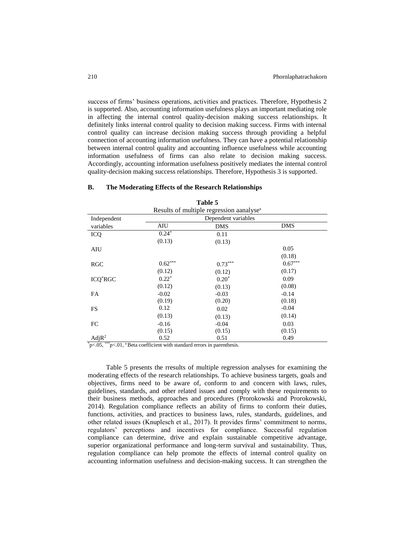success of firms' business operations, activities and practices. Therefore, Hypothesis 2 is supported. Also, accounting information usefulness plays an important mediating role in affecting the internal control quality-decision making success relationships. It definitely links internal control quality to decision making success. Firms with internal control quality can increase decision making success through providing a helpful connection of accounting information usefulness. They can have a potential relationship between internal control quality and accounting influence usefulness while accounting information usefulness of firms can also relate to decision making success. Accordingly, accounting information usefulness positively mediates the internal control quality-decision making success relationships. Therefore, Hypothesis 3 is supported.

|                   |                       | Table 5                                              |            |
|-------------------|-----------------------|------------------------------------------------------|------------|
|                   |                       | Results of multiple regression aanalyse <sup>s</sup> |            |
| Independent       |                       | Dependent variables                                  |            |
| variables         | AIU                   | DMS                                                  | <b>DMS</b> |
| <b>ICQ</b>        | $0.24*$               | 0.11                                                 |            |
|                   | (0.13)                | (0.13)                                               |            |
| AIU               |                       |                                                      | 0.05       |
|                   |                       |                                                      | (0.18)     |
| RGC               | $0.62^{\ast\ast\ast}$ | $0.73***$                                            | $0.67***$  |
|                   | (0.12)                | (0.12)                                               | (0.17)     |
| <b>ICQ*RGC</b>    | $0.22*$               | $0.20*$                                              | 0.09       |
|                   | (0.12)                | (0.13)                                               | (0.08)     |
| FA                | $-0.02$               | $-0.03$                                              | $-0.14$    |
|                   | (0.19)                | (0.20)                                               | (0.18)     |
| FS                | 0.12                  | 0.02                                                 | $-0.04$    |
|                   | (0.13)                | (0.13)                                               | (0.14)     |
| FC                | $-0.16$               | $-0.04$                                              | 0.03       |
|                   | (0.15)                | (0.15)                                               | (0.15)     |
| AdjR <sup>2</sup> | 0.52                  | 0.51                                                 | 0.49       |

#### **B. The Moderating Effects of the Research Relationships**

 $p<0.05$ , \*\*\*p $<0.01$ , a Beta coefficient with standard errors in parenthesis.

Table 5 presents the rresults of multiple regression analyses for examining the moderating effects of the research relationships. To achieve business targets, goals and objectives, firms need to be aware of, conform to and concern with laws, rules, guidelines, standards, and other related issues and comply with these requirements to their business methods, approaches and procedures (Prorokowski and Prorokowski, 2014). Regulation compliance reflects an ability of firms to conform their duties, functions, activities, and practices to business laws, rules, standards, guidelines, and other related issues (Knuplesch et al., 2017). It provides firms' commitment to norms, regulators' perceptions and incentives for compliance. Successful regulation compliance can determine, drive and explain sustainable competitive advantage, superior organizational performance and long-term survival and sustainability. Thus, regulation compliance can help promote the effects of internal control quality on accounting information usefulness and decision-making success. It can strengthen the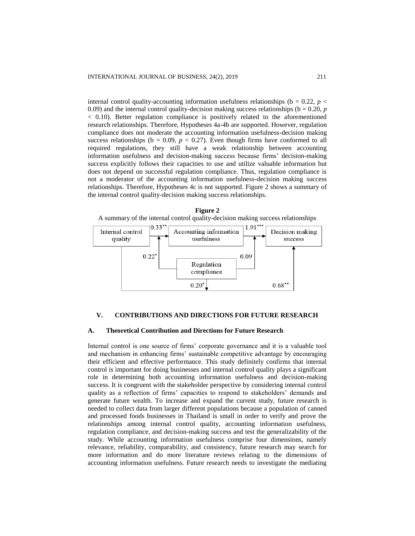internal control quality-accounting information usefulness relationships ( $b = 0.22$ ,  $p <$ 0.09) and the internal control quality-decision making success relationships ( $b = 0.20$ ,  $p$ < 0.10). Better regulation compliance is positively related to the aforementioned research relationships. Therefore, Hypotheses 4a-4b are supported. However, regulation compliance does not moderate the accounting information usefulness-decision making success relationships ( $b = 0.09$ ,  $p < 0.27$ ). Even though firms have conformed to all required regulations, they still have a weak relationship between accounting information usefulness and decision-making success because firms' decision-making success explicitly follows their capacities to use and utilize valuable information but does not depend on successful regulation compliance. Thus, regulation compliance is not a moderator of the accounting information usefulness-decision making success relationships. Therefore, Hypotheses 4c is not supported. Figure 2 shows a summary of the internal control quality-decision making success relationships.





#### **V. CONTRIBUTIONS AND DIRECTIONS FOR FUTURE RESEARCH**

## **A. Theoretical Contribution and Directions for Future Research**

Internal control is one source of firms' corporate governance and it is a valuable tool and mechanism in enhancing firms' sustainable competitive advantage by encouraging their efficient and effective performance. This study definitely confirms that internal control is important for doing businesses and internal control quality plays a significant role in determining both accounting information usefulness and decision-making success. It is congruent with the stakeholder perspective by considering internal control quality as a reflection of firms' capacities to respond to stakeholders' demands and generate future wealth. To increase and expand the current study, future research is needed to collect data from larger different populations because a population of canned and processed foods businesses in Thailand is small in order to verify and prove the relationships among internal control quality, accounting information usefulness, regulation compliance, and decision-making success and test the generalizability of the study. While accounting information usefulness comprise four dimensions, namely relevance, reliability, comparability, and consistency, future research may search for more information and do more literature reviews relating to the dimensions of accounting information usefulness. Future research needs to investigate the mediating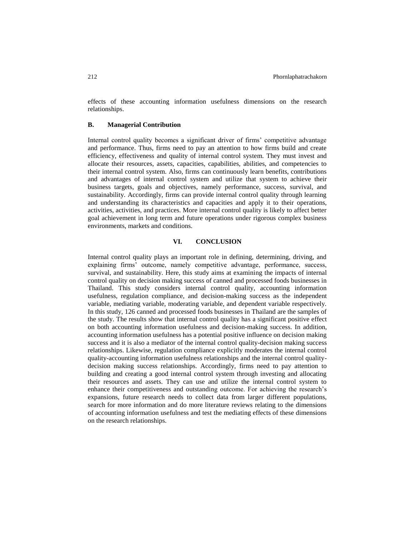effects of these accounting information usefulness dimensions on the research relationships.

#### **B. Managerial Contribution**

Internal control quality becomes a significant driver of firms' competitive advantage and performance. Thus, firms need to pay an attention to how firms build and create efficiency, effectiveness and quality of internal control system. They must invest and allocate their resources, assets, capacities, capabilities, abilities, and competencies to their internal control system. Also, firms can continuously learn benefits, contributions and advantages of internal control system and utilize that system to achieve their business targets, goals and objectives, namely performance, success, survival, and sustainability. Accordingly, firms can provide internal control quality through learning and understanding its characteristics and capacities and apply it to their operations, activities, activities, and practices. More internal control quality is likely to affect better goal achievement in long term and future operations under rigorous complex business environments, markets and conditions.

## **VI. CONCLUSION**

Internal control quality plays an important role in defining, determining, driving, and explaining firms' outcome, namely competitive advantage, performance, success, survival, and sustainability. Here, this study aims at examining the impacts of internal control quality on decision making success of canned and processed foods businesses in Thailand. This study considers internal control quality, accounting information usefulness, regulation compliance, and decision-making success as the independent variable, mediating variable, moderating variable, and dependent variable respectively. In this study, 126 canned and processed foods businesses in Thailand are the samples of the study. The results show that internal control quality has a significant positive effect on both accounting information usefulness and decision-making success. In addition, accounting information usefulness has a potential positive influence on decision making success and it is also a mediator of the internal control quality-decision making success relationships. Likewise, regulation compliance explicitly moderates the internal control quality-accounting information usefulness relationships and the internal control qualitydecision making success relationships. Accordingly, firms need to pay attention to building and creating a good internal control system through investing and allocating their resources and assets. They can use and utilize the internal control system to enhance their competitiveness and outstanding outcome. For achieving the research's expansions, future research needs to collect data from larger different populations, search for more information and do more literature reviews relating to the dimensions of accounting information usefulness and test the mediating effects of these dimensions on the research relationships.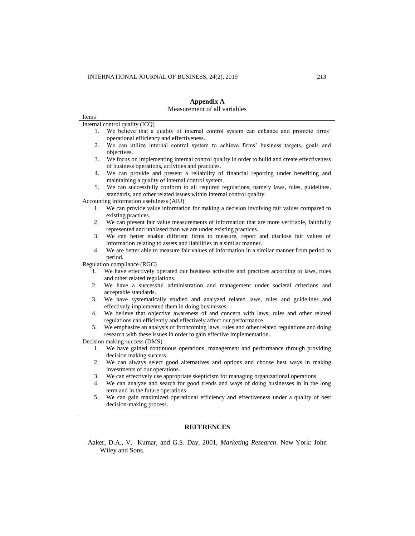|       | <b>Appendix A</b>                                                                                                                         |
|-------|-------------------------------------------------------------------------------------------------------------------------------------------|
|       | Measurement of all variables                                                                                                              |
| Items |                                                                                                                                           |
|       | Internal control quality (ICQ)                                                                                                            |
| 1.    | We believe that a quality of internal control system can enhance and promote firms'<br>operational efficiency and effectiveness.          |
| 2.    | We can utilize internal control system to achieve firms' business targets, goals and                                                      |
|       | objectives.                                                                                                                               |
| 3.    | We focus on implementing internal control quality in order to build and create effectiveness                                              |
|       | of business operations, activities and practices.                                                                                         |
| 4.    | We can provide and present a reliability of financial reporting under benefiting and<br>maintaining a quality of internal control system. |
| 5.    | We can successfully conform to all required regulations, namely laws, rules, guidelines,                                                  |
|       | standards, and other related issues within internal control quality.                                                                      |
|       | Accounting information usefulness (AIU)                                                                                                   |
| 1.    | We can provide value information for making a decision involving fair values compared to                                                  |
|       | existing practices.                                                                                                                       |
| 2.    | We can present fair value measurements of information that are more verifiable, faithfully                                                |
|       | represented and unbiased than we are under existing practices.                                                                            |
| 3.    | We can better enable different firms to measure, report and disclose fair values of                                                       |
|       | information relating to assets and liabilities in a similar manner.                                                                       |
| 4.    | We are better able to measure fair values of information in a similar manner from period to<br>period.                                    |
|       | Regulation compliance (RGC)                                                                                                               |
| 1.    | We have effectively operated our business activities and practices according to laws, rules                                               |
|       | and other related regulations.                                                                                                            |
| 2.    | We have a successful administration and management under societal criterions and                                                          |
|       | acceptable standards.                                                                                                                     |
| 3.    | We have systematically studied and analyzed related laws, rules and guidelines and                                                        |
|       | effectively implemented them in doing businesses.                                                                                         |
| 4.    | We believe that objective awareness of and concern with laws, rules and other related                                                     |
|       | regulations can efficiently and effectively affect our performance.                                                                       |
| 5.    | We emphasize an analysis of forthcoming laws, rules and other related regulations and doing                                               |
|       | research with these issues in order to gain effective implementation.                                                                     |
|       | Decision making success (DMS)                                                                                                             |
| 1.    | We have gained continuous operations, management and performance through providing<br>decision making success.                            |
| 2.    | We can always select good alternatives and options and choose best ways in making                                                         |
|       | investments of our operations.                                                                                                            |
| 3.    | We can effectively use appropriate skepticism for managing organizational operations.                                                     |
| 4.    | We can analyze and search for good trends and ways of doing businesses in in the long                                                     |
|       | term and in the future operations.                                                                                                        |
| 5.    | We can gain maximized operational efficiency and effectiveness under a quality of best                                                    |
|       | decision-making process.                                                                                                                  |
|       |                                                                                                                                           |
|       |                                                                                                                                           |
|       | <b>REFERENCES</b>                                                                                                                         |
|       |                                                                                                                                           |

Aaker, D.A., V. Kumar, and G.S. Day, 2001, *Marketing Research*. New York: John Wiley and Sons.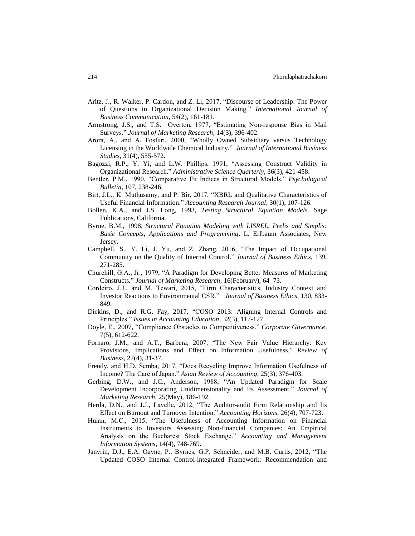- Aritz, J., R. Walker, P. Cardon, and Z. Li, 2017, "Discourse of Leadership: The Power of Questions in Organizational Decision Making*.*" *International Journal of Business Communication*, 54(2), 161-181.
- Armstrong, J.S., and T.S. Overton, 1977, "Estimating Non-response Bias in Mail Surveys." *Journal of Marketing Research*, 14(3), 396-402.
- Arora, A., and A. Fosfuri, 2000, "Wholly Owned Subsidiary versus Technology Licensing in the Worldwide Chemical Industry." *Journal of International Business Studies*, 31(4), 555-572.
- Bagozzi, R.P., Y. Yi, and L.W. Phillips, 1991, "Assessing Construct Validity in Organizational Research." *Administrative Science Quarterly*, 36(3), 421-458.
- Bentler, P.M., 1990, "Comparative Fit Indices in Structural Models." *Psychological Bulletin*, 107, 238-246.
- Birt, J.L., K. Muthusamy, and P. Bir, 2017, "XBRL and Qualitative Characteristics of Useful Financial Information." *Accounting Research Journal*, 30(1), 107-126.
- Bollen, K.A., and J.S. Long, 1993, *Testing Structural Equation Models*. Sage Publications, California.
- Byrne, B.M., 1998, *Structural Equation Modeling with LISREL, Prelis and Simplis: Basic Concepts, Applications and Programming*. L. Erlbaum Associates, New Jersey.
- Campbell, S., Y. Li, J. Yu, and Z. Zhang, 2016, "The Impact of Occupational Community on the Quality of Internal Control." *Journal of Business Ethics*, 139, 271-285.
- Churchill, G.A., Jr., 1979, "A Paradigm for Developing Better Measures of Marketing Constructs*.*" *Journal of Marketing Research*, 16(February), 64–73.
- Cordeiro, J.J., and M. Tewari, 2015, "Firm Characteristics, Industry Context and Investor Reactions to Environmental CSR*.*" *Journal of Business Ethics*, 130, 833- 849.
- Dickins, D., and R.G. Fay, 2017, "COSO 2013: Aligning Internal Controls and Principles." *Issues in Accounting Education*, 32(3), 117-127.
- Doyle, E., 2007, "Compliance Obstacles to Competitiveness." *Corporate Governance*, 7(5), 612-622.
- Fornaro, J.M., and A.T., Barbera, 2007, "The New Fair Value Hierarchy: Key Provisions, Implications and Effect on Information Usefulness." *Review of Business*, 27(4), 31-37.
- Frendy, and H.D. Semba, 2017, "Does Recycling Improve Information Usefulness of Income? The Care of Japan." *Asian Review of Accounting*, 25(3), 376-403.
- Gerbing, D.W., and J.C., Anderson, 1988, "An Updated Paradigm for Scale Development Incorporating Unidimensionality and Its Assessment." *Journal of Marketing Research*, 25(May), 186-192.
- Herda, D.N., and J.J., Lavelle, 2012, "The Auditor-audit Firm Relationship and Its Effect on Burnout and Turnover Intention." *Accounting Horizons*, 26(4), 707-723.
- Huian, M.C., 2015, "The Usefulness of Accounting Information on Financial Instruments to Investors Assessing Non-financial Companies: An Empirical Analysis on the Bucharest Stock Exchange." *Accounting and Management Information Systems*, 14(4), 748-769.
- Janvrin, D.J., E.A. Oayne, P., Byrnes, G.P. Schneider, and M.B. Curtis, 2012, "The Updated COSO Internal Control-integrated Framework: Recommendation and